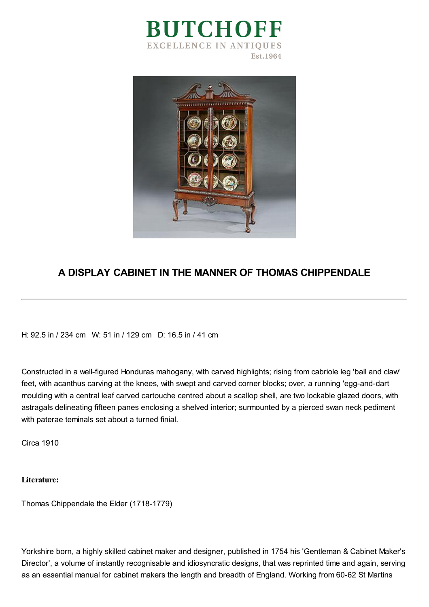



## **A DISPLAY CABINET IN THE MANNER OF THOMAS CHIPPENDALE**

H: 92.5 in / 234 cm W: 51 in / 129 cm D: 16.5 in / 41 cm

Constructed in a well-figured Honduras mahogany, with carved highlights; rising from cabriole leg 'ball and claw' feet, with acanthus carving at the knees, with swept and carved corner blocks; over, a running 'egg-and-dart moulding with a central leaf carved cartouche centred about a scallop shell, are two lockable glazed doors, with astragals delineating fifteen panes enclosing a shelved interior; surmounted by a pierced swan neck pediment with paterae teminals set about a turned finial.

Circa 1910

## **Literature:**

Thomas Chippendale the Elder (1718-1779)

Yorkshire born, a highly skilled cabinet maker and designer, published in 1754 his 'Gentleman & Cabinet Maker's Director', a volume of instantly recognisable and idiosyncratic designs, that was reprinted time and again, serving as an essential manual for cabinet makers the length and breadth of England. Working from 60-62 St Martins